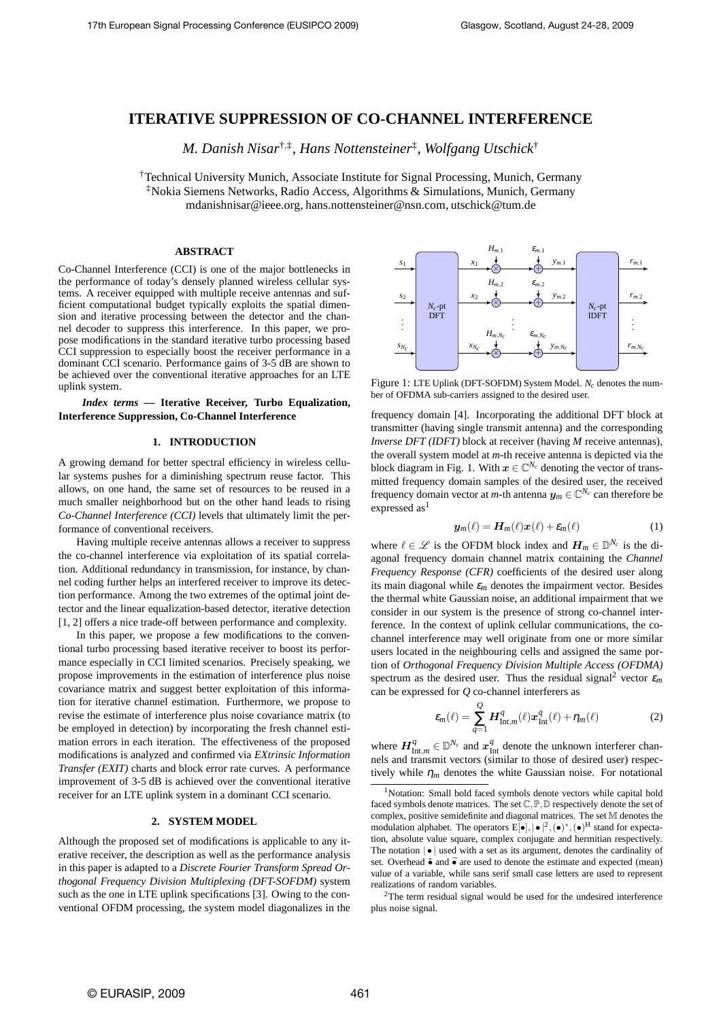# **ITERATIVE SUPPRESSION OF CO-CHANNEL INTERFERENCE**

*M. Danish Nisar*†,‡ *, Hans Nottensteiner*‡ *, Wolfgang Utschick*†

†Technical University Munich, Associate Institute for Signal Processing, Munich, Germany ‡Nokia Siemens Networks, Radio Access, Algorithms & Simulations, Munich, Germany mdanishnisar@ieee.org, hans.nottensteiner@nsn.com, utschick@tum.de

## **ABSTRACT**

Co-Channel Interference (CCI) is one of the major bottlenecks in the performance of today's densely planned wireless cellular systems. A receiver equipped with multiple receive antennas and sufficient computational budget typically exploits the spatial dimension and iterative processing between the detector and the channel decoder to suppress this interference. In this paper, we propose modifications in the standard iterative turbo processing based CCI suppression to especially boost the receiver performance in a dominant CCI scenario. Performance gains of 3-5 dB are shown to be achieved over the conventional iterative approaches for an LTE uplink system.

*Index terms* **— Iterative Receiver, Turbo Equalization, Interference Suppression, Co-Channel Interference**

## **1. INTRODUCTION**

A growing demand for better spectral efficiency in wireless cellular systems pushes for a diminishing spectrum reuse factor. This allows, on one hand, the same set of resources to be reused in a much smaller neighborhood but on the other hand leads to rising *Co-Channel Interference (CCI)* levels that ultimately limit the performance of conventional receivers.

Having multiple receive antennas allows a receiver to suppress the co-channel interference via exploitation of its spatial correlation. Additional redundancy in transmission, for instance, by channel coding further helps an interfered receiver to improve its detection performance. Among the two extremes of the optimal joint detector and the linear equalization-based detector, iterative detection [1, 2] offers a nice trade-off between performance and complexity.

In this paper, we propose a few modifications to the conventional turbo processing based iterative receiver to boost its performance especially in CCI limited scenarios. Precisely speaking, we propose improvements in the estimation of interference plus noise covariance matrix and suggest better exploitation of this information for iterative channel estimation. Furthermore, we propose to revise the estimate of interference plus noise covariance matrix (to be employed in detection) by incorporating the fresh channel estimation errors in each iteration. The effectiveness of the proposed modifications is analyzed and confirmed via *EXtrinsic Information Transfer (EXIT)* charts and block error rate curves. A performance improvement of 3-5 dB is achieved over the conventional iterative receiver for an LTE uplink system in a dominant CCI scenario.

#### **2. SYSTEM MODEL**

Although the proposed set of modifications is applicable to any iterative receiver, the description as well as the performance analysis in this paper is adapted to a *Discrete Fourier Transform Spread Orthogonal Frequency Division Multiplexing (DFT-SOFDM)* system such as the one in LTE uplink specifications [3]. Owing to the conventional OFDM processing, the system model diagonalizes in the



Figure 1: LTE Uplink (DFT-SOFDM) System Model. *N<sup>c</sup>* denotes the number of OFDMA sub-carriers assigned to the desired user.

frequency domain [4]. Incorporating the additional DFT block at transmitter (having single transmit antenna) and the corresponding *Inverse DFT (IDFT)* block at receiver (having *M* receive antennas), the overall system model at *m*-th receive antenna is depicted via the block diagram in Fig. 1. With  $x \in \mathbb{C}^{N_c}$  denoting the vector of transmitted frequency domain samples of the desired user, the received frequency domain vector at *m*-th antenna  $y_m \in \mathbb{C}^{N_c}$  can therefore be expressed as<sup>1</sup>

$$
\mathbf{y}_m(\ell) = \mathbf{H}_m(\ell)\mathbf{x}(\ell) + \varepsilon_m(\ell) \tag{1}
$$

where  $\ell \in \mathcal{L}$  is the OFDM block index and  $H_m \in \mathbb{D}^{N_c}$  is the diagonal frequency domain channel matrix containing the *Channel Frequency Response (CFR)* coefficients of the desired user along its main diagonal while  $\varepsilon_m$  denotes the impairment vector. Besides the thermal white Gaussian noise, an additional impairment that we consider in our system is the presence of strong co-channel interference. In the context of uplink cellular communications, the cochannel interference may well originate from one or more similar users located in the neighbouring cells and assigned the same portion of *Orthogonal Frequency Division Multiple Access (OFDMA)* spectrum as the desired user. Thus the residual signal<sup>2</sup> vector  $\varepsilon_m$ can be expressed for *Q* co-channel interferers as

$$
\varepsilon_m(\ell) = \sum_{q=1}^{Q} H_{\text{Int},m}^q(\ell) x_{\text{Int}}^q(\ell) + \eta_m(\ell) \tag{2}
$$

where  $\mathbf{H}^q_{\text{Int},m} \in \mathbb{D}^{N_c}$  and  $x^q_{\text{Int}}$  denote the unknown interferer channels and transmit vectors (similar to those of desired user) respectively while  $\eta_m$  denotes the white Gaussian noise. For notational

<sup>2</sup>The term residual signal would be used for the undesired interference plus noise signal.

<sup>&</sup>lt;sup>1</sup>Notation: Small bold faced symbols denote vectors while capital bold faced symbols denote matrices. The set  $\mathbb{C}, \mathbb{P}, \mathbb{D}$  respectively denote the set of complex, positive semidefinite and diagonal matrices. The set M denotes the modulation alphabet. The operators  $E[\bullet], |\bullet|^2, (\bullet)^*, (\bullet)^H$  stand for expectation, absolute value square, complex conjugate and hermitian respectively. The notation  $\cdot \cdot$  used with a set as its argument, denotes the cardinality of set. Overhead  $\hat{\bullet}$  and  $\bar{\bullet}$  are used to denote the estimate and expected (mean) value of a variable, while sans serif small case letters are used to represent realizations of random variables.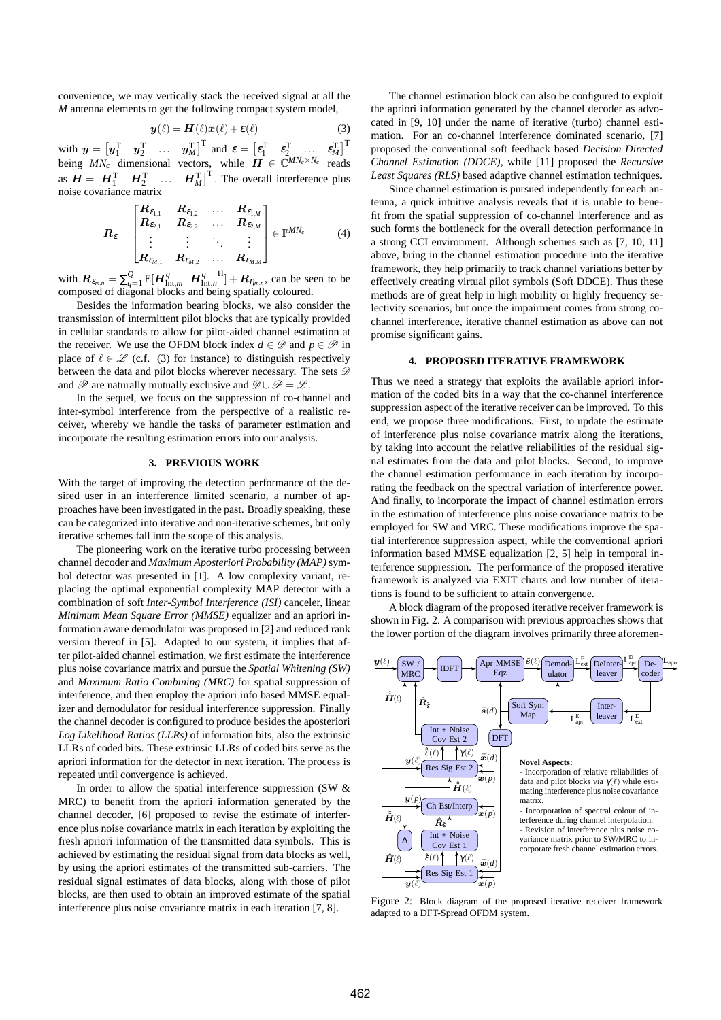convenience, we may vertically stack the received signal at all the *M* antenna elements to get the following compact system model,

$$
\mathbf{y}(\ell) = \mathbf{H}(\ell)\mathbf{x}(\ell) + \varepsilon(\ell) \tag{3}
$$

with  $y = \begin{bmatrix} y_1^T & y_2^T & \dots & y_M^T \end{bmatrix}^T$  and  $\varepsilon = \begin{bmatrix} \varepsilon_1^T & \varepsilon_2^T & \dots & \varepsilon_M^T \end{bmatrix}^T$ being  $MN_c$  dimensional vectors, while  $\boldsymbol{H} \in \mathbb{C}^{MN_c \times N_c}$  reads as  $\boldsymbol{H} = \begin{bmatrix} \boldsymbol{H}_1^{\mathrm{T}} & \boldsymbol{H}_2^{\mathrm{T}} & \dots & \boldsymbol{H}_M^{\mathrm{T}} \end{bmatrix}^{\mathrm{T}}$ . The overall interference plus noise covariance matrix

$$
R_{\varepsilon} = \begin{bmatrix} R_{\varepsilon_{1,1}} & R_{\varepsilon_{1,2}} & \dots & R_{\varepsilon_{1,M}} \\ R_{\varepsilon_{2,1}} & R_{\varepsilon_{2,2}} & \dots & R_{\varepsilon_{2,M}} \\ \vdots & \vdots & \ddots & \vdots \\ R_{\varepsilon_{M,1}} & R_{\varepsilon_{M,2}} & \dots & R_{\varepsilon_{M,M}} \end{bmatrix} \in \mathbb{P}^{MN_c}
$$
 (4)

with  $\bm{R}_{\varepsilon_{m,n}} = \sum_{q=1}^{Q} \mathrm{E}[\bm{H}_{\text{Int},m}^q \ \bm{H}_{\text{Int},n}^q] + \bm{R}_{\eta_{m,n}}$ , can be seen to be composed of diagonal blocks and being spatially coloured.

Besides the information bearing blocks, we also consider the transmission of intermittent pilot blocks that are typically provided in cellular standards to allow for pilot-aided channel estimation at the receiver. We use the OFDM block index  $d \in \mathcal{D}$  and  $p \in \mathcal{P}$  in place of  $\ell \in \mathcal{L}$  (c.f. (3) for instance) to distinguish respectively between the data and pilot blocks wherever necessary. The sets  $\mathscr{D}$ and  $\mathscr P$  are naturally mutually exclusive and  $\mathscr D \cup \mathscr P = \mathscr L$ .

In the sequel, we focus on the suppression of co-channel and inter-symbol interference from the perspective of a realistic receiver, whereby we handle the tasks of parameter estimation and incorporate the resulting estimation errors into our analysis.

## **3. PREVIOUS WORK**

With the target of improving the detection performance of the desired user in an interference limited scenario, a number of approaches have been investigated in the past. Broadly speaking, these can be categorized into iterative and non-iterative schemes, but only iterative schemes fall into the scope of this analysis.

The pioneering work on the iterative turbo processing between channel decoder and *Maximum Aposteriori Probability (MAP)*symbol detector was presented in [1]. A low complexity variant, replacing the optimal exponential complexity MAP detector with a combination of soft *Inter-Symbol Interference (ISI)* canceler, linear *Minimum Mean Square Error (MMSE)* equalizer and an apriori information aware demodulator was proposed in [2] and reduced rank version thereof in [5]. Adapted to our system, it implies that after pilot-aided channel estimation, we first estimate the interference plus noise covariance matrix and pursue the *Spatial Whitening (SW)* and *Maximum Ratio Combining (MRC)* for spatial suppression of interference, and then employ the apriori info based MMSE equalizer and demodulator for residual interference suppression. Finally the channel decoder is configured to produce besides the aposteriori *Log Likelihood Ratios (LLRs)* of information bits, also the extrinsic LLRs of coded bits. These extrinsic LLRs of coded bits serve as the apriori information for the detector in next iteration. The process is repeated until convergence is achieved.

In order to allow the spatial interference suppression (SW  $\&$ MRC) to benefit from the apriori information generated by the channel decoder, [6] proposed to revise the estimate of interference plus noise covariance matrix in each iteration by exploiting the fresh apriori information of the transmitted data symbols. This is achieved by estimating the residual signal from data blocks as well, by using the apriori estimates of the transmitted sub-carriers. The residual signal estimates of data blocks, along with those of pilot blocks, are then used to obtain an improved estimate of the spatial interference plus noise covariance matrix in each iteration [7, 8].

The channel estimation block can also be configured to exploit the apriori information generated by the channel decoder as advocated in [9, 10] under the name of iterative (turbo) channel estimation. For an co-channel interference dominated scenario, [7] proposed the conventional soft feedback based *Decision Directed Channel Estimation (DDCE)*, while [11] proposed the *Recursive Least Squares (RLS)* based adaptive channel estimation techniques.

Since channel estimation is pursued independently for each antenna, a quick intuitive analysis reveals that it is unable to benefit from the spatial suppression of co-channel interference and as such forms the bottleneck for the overall detection performance in a strong CCI environment. Although schemes such as [7, 10, 11] above, bring in the channel estimation procedure into the iterative framework, they help primarily to track channel variations better by effectively creating virtual pilot symbols (Soft DDCE). Thus these methods are of great help in high mobility or highly frequency selectivity scenarios, but once the impairment comes from strong cochannel interference, iterative channel estimation as above can not promise significant gains.

## **4. PROPOSED ITERATIVE FRAMEWORK**

Thus we need a strategy that exploits the available apriori information of the coded bits in a way that the co-channel interference suppression aspect of the iterative receiver can be improved. To this end, we propose three modifications. First, to update the estimate of interference plus noise covariance matrix along the iterations, by taking into account the relative reliabilities of the residual signal estimates from the data and pilot blocks. Second, to improve the channel estimation performance in each iteration by incorporating the feedback on the spectral variation of interference power. And finally, to incorporate the impact of channel estimation errors in the estimation of interference plus noise covariance matrix to be employed for SW and MRC. These modifications improve the spatial interference suppression aspect, while the conventional apriori information based MMSE equalization [2, 5] help in temporal interference suppression. The performance of the proposed iterative framework is analyzed via EXIT charts and low number of iterations is found to be sufficient to attain convergence.

A block diagram of the proposed iterative receiver framework is shown in Fig. 2. A comparison with previous approaches shows that the lower portion of the diagram involves primarily three aforemen-



Figure 2: Block diagram of the proposed iterative receiver framework adapted to a DFT-Spread OFDM system.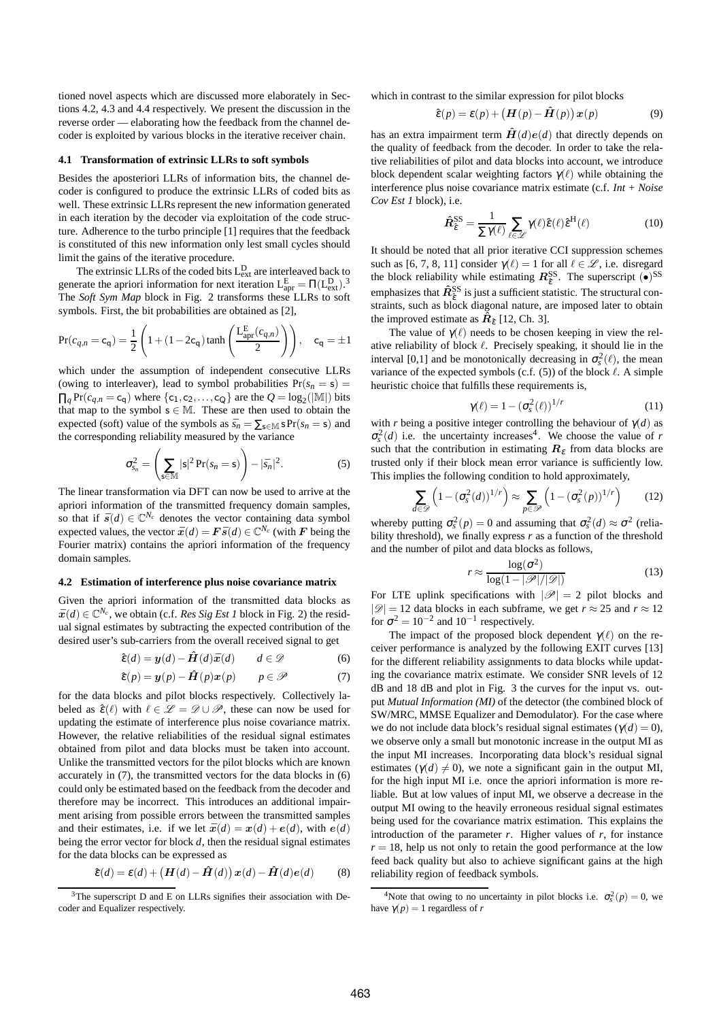tioned novel aspects which are discussed more elaborately in Sections 4.2, 4.3 and 4.4 respectively. We present the discussion in the reverse order — elaborating how the feedback from the channel decoder is exploited by various blocks in the iterative receiver chain.

#### **4.1 Transformation of extrinsic LLRs to soft symbols**

Besides the aposteriori LLRs of information bits, the channel decoder is configured to produce the extrinsic LLRs of coded bits as well. These extrinsic LLRs represent the new information generated in each iteration by the decoder via exploitation of the code structure. Adherence to the turbo principle [1] requires that the feedback is constituted of this new information only lest small cycles should limit the gains of the iterative procedure.

The extrinsic LLRs of the coded bits  $L_{ext}^{D}$  are interleaved back to generate the apriori information for next iteration  $L_{\text{apr}}^{\text{E}} = \Pi(L_{\text{ext}}^{\text{D}})^3$ The *Soft Sym Map* block in Fig. 2 transforms these LLRs to soft symbols. First, the bit probabilities are obtained as [2],

$$
Pr(c_{q,n} = c_q) = \frac{1}{2} \left( 1 + (1 - 2c_q) \tanh\left(\frac{L_{\text{apr}}^E(c_{q,n})}{2}\right) \right), \quad c_q = \pm 1
$$

which under the assumption of independent consecutive LLRs (owing to interleaver), lead to symbol probabilities  $Pr(s_n = s)$  $\prod_{q} Pr(c_{q,n} = c_q)$  where  $\{c_1, c_2, \ldots, c_Q\}$  are the  $Q = \log_2(|M|)$  bits that map to the symbol  $s \in M$ . These are then used to obtain the expected (soft) value of the symbols as  $\bar{s}_n = \sum_{s \in \mathbb{N}} s \Pr(s_n = s)$  and the corresponding reliability measured by the variance

$$
\sigma_{s_n}^2 = \left(\sum_{\mathbf{s} \in \mathbb{M}} |\mathbf{s}|^2 \Pr(s_n = \mathbf{s})\right) - |\bar{s}_n|^2. \tag{5}
$$

The linear transformation via DFT can now be used to arrive at the apriori information of the transmitted frequency domain samples, so that if  $\bar{s}(d) \in \mathbb{C}^{N_c}$  denotes the vector containing data symbol expected values, the vector  $\bar{x}(d) = F\bar{s}(d) \in \mathbb{C}^{N_c}$  (with F being the Fourier matrix) contains the apriori information of the frequency domain samples.

### **4.2 Estimation of interference plus noise covariance matrix**

Given the apriori information of the transmitted data blocks as  $\bar{x}(d) \in \mathbb{C}^{N_c}$ , we obtain (c.f. *Res Sig Est 1* block in Fig. 2) the residual signal estimates by subtracting the expected contribution of the desired user's sub-carriers from the overall received signal to get

$$
\hat{\boldsymbol{\varepsilon}}(d) = \boldsymbol{y}(d) - \hat{\boldsymbol{H}}(d)\bar{\boldsymbol{x}}(d) \qquad d \in \mathcal{D} \tag{6}
$$

$$
\hat{\varepsilon}(p) = \mathbf{y}(p) - \hat{\mathbf{H}}(p)\mathbf{x}(p) \qquad p \in \mathscr{P} \tag{7}
$$

for the data blocks and pilot blocks respectively. Collectively labeled as  $\hat{\varepsilon}(\ell)$  with  $\ell \in \mathcal{L} = \mathcal{D} \cup \mathcal{P}$ , these can now be used for updating the estimate of interference plus noise covariance matrix. However, the relative reliabilities of the residual signal estimates obtained from pilot and data blocks must be taken into account. Unlike the transmitted vectors for the pilot blocks which are known accurately in (7), the transmitted vectors for the data blocks in (6) could only be estimated based on the feedback from the decoder and therefore may be incorrect. This introduces an additional impairment arising from possible errors between the transmitted samples and their estimates, i.e. if we let  $\bar{x}(d) = x(d) + e(d)$ , with  $e(d)$ being the error vector for block *d*, then the residual signal estimates for the data blocks can be expressed as

$$
\hat{\varepsilon}(d) = \varepsilon(d) + \left(\mathbf{H}(d) - \hat{\mathbf{H}}(d)\right)\mathbf{x}(d) - \hat{\mathbf{H}}(d)e(d) \tag{8}
$$

which in contrast to the similar expression for pilot blocks

$$
\hat{\varepsilon}(p) = \varepsilon(p) + \left(\mathbf{H}(p) - \hat{\mathbf{H}}(p)\right)\mathbf{x}(p) \tag{9}
$$

has an extra impairment term  $\hat{H}(d)e(d)$  that directly depends on the quality of feedback from the decoder. In order to take the relative reliabilities of pilot and data blocks into account, we introduce block dependent scalar weighting factors  $\gamma(\ell)$  while obtaining the interference plus noise covariance matrix estimate (c.f. *Int + Noise Cov Est 1* block), i.e.

$$
\hat{\mathbf{R}}_{\hat{\varepsilon}}^{\text{SS}} = \frac{1}{\sum \gamma(\ell)} \sum_{\ell \in \mathscr{L}} \gamma(\ell) \hat{\varepsilon}(\ell) \hat{\varepsilon}^{\text{H}}(\ell) \tag{10}
$$

It should be noted that all prior iterative CCI suppression schemes such as [6, 7, 8, 11] consider  $\gamma(\ell) = 1$  for all  $\ell \in \mathcal{L}$ , i.e. disregard the block reliability while estimating  $\mathbf{R}_{\hat{\varepsilon}}^{\text{SS}}$ . The superscript  $(\bullet)^{\text{SS}}$ emphasizes that  $\hat{R}^{\text{SS}}_{\hat{\epsilon}}$  is just a sufficient statistic. The structural constraints, such as block diagonal nature, are imposed later to obtain the improved estimate as  $\tilde{R}_{\hat{\epsilon}}$  [12, Ch. 3].

The value of  $\gamma(\ell)$  needs to be chosen keeping in view the relative reliability of block  $\ell$ . Precisely speaking, it should lie in the interval [0,1] and be monotonically decreasing in  $\sigma_s^2(\ell)$ , the mean variance of the expected symbols (c.f.  $(5)$ ) of the block  $\ell$ . A simple heuristic choice that fulfills these requirements is,

$$
\gamma(\ell) = 1 - (\sigma_s^2(\ell))^{1/r} \tag{11}
$$

with *r* being a positive integer controlling the behaviour of  $\gamma(d)$  as  $\sigma_s^2(d)$  i.e. the uncertainty increases<sup>4</sup>. We choose the value of *r* such that the contribution in estimating  $R<sub>\epsilon</sub>$  from data blocks are trusted only if their block mean error variance is sufficiently low. This implies the following condition to hold approximately,

$$
\sum_{d \in \mathscr{D}} \left( 1 - (\sigma_s^2(d))^{1/r} \right) \approx \sum_{p \in \mathscr{P}} \left( 1 - (\sigma_s^2(p))^{1/r} \right) \tag{12}
$$

whereby putting  $\sigma_s^2(p) = 0$  and assuming that  $\sigma_s^2(d) \approx \sigma^2$  (reliability threshold), we finally express *r* as a function of the threshold and the number of pilot and data blocks as follows,

$$
r \approx \frac{\log(\sigma^2)}{\log(1 - |\mathcal{P}|/|\mathcal{D}|)}\tag{13}
$$

For LTE uplink specifications with  $|\mathscr{P}| = 2$  pilot blocks and  $|\mathscr{D}| = 12$  data blocks in each subframe, we get  $r \approx 25$  and  $r \approx 12$ for  $\sigma^2 = 10^{-2}$  and  $10^{-1}$  respectively.

The impact of the proposed block dependent  $\gamma(\ell)$  on the receiver performance is analyzed by the following EXIT curves [13] for the different reliability assignments to data blocks while updating the covariance matrix estimate. We consider SNR levels of 12 dB and 18 dB and plot in Fig. 3 the curves for the input vs. output *Mutual Information (MI)* of the detector (the combined block of SW/MRC, MMSE Equalizer and Demodulator). For the case where we do not include data block's residual signal estimates ( $\gamma(d) = 0$ ), we observe only a small but monotonic increase in the output MI as the input MI increases. Incorporating data block's residual signal estimates ( $\gamma(d) \neq 0$ ), we note a significant gain in the output MI, for the high input MI i.e. once the apriori information is more reliable. But at low values of input MI, we observe a decrease in the output MI owing to the heavily erroneous residual signal estimates being used for the covariance matrix estimation. This explains the introduction of the parameter *r*. Higher values of *r*, for instance  $r = 18$ , help us not only to retain the good performance at the low feed back quality but also to achieve significant gains at the high reliability region of feedback symbols.

<sup>&</sup>lt;sup>3</sup>The superscript D and E on LLRs signifies their association with Decoder and Equalizer respectively.

<sup>&</sup>lt;sup>4</sup>Note that owing to no uncertainty in pilot blocks i.e.  $\sigma_s^2(p) = 0$ , we have  $\gamma(p) = 1$  regardless of *r*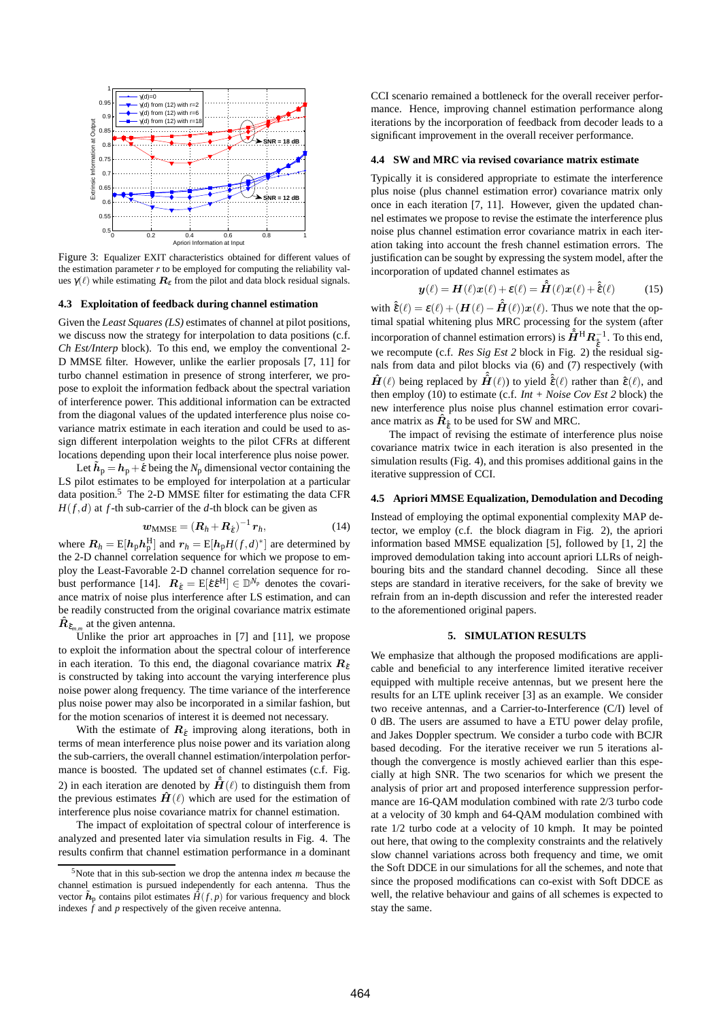

Figure 3: Equalizer EXIT characteristics obtained for different values of the estimation parameter  $r$  to be employed for computing the reliability values  $\gamma(\ell)$  while estimating  $\mathbf{R}_{\epsilon}$  from the pilot and data block residual signals.

#### **4.3 Exploitation of feedback during channel estimation**

Given the *Least Squares (LS)* estimates of channel at pilot positions, we discuss now the strategy for interpolation to data positions (c.f. *Ch Est/Interp* block). To this end, we employ the conventional 2- D MMSE filter. However, unlike the earlier proposals [7, 11] for turbo channel estimation in presence of strong interferer, we propose to exploit the information fedback about the spectral variation of interference power. This additional information can be extracted from the diagonal values of the updated interference plus noise covariance matrix estimate in each iteration and could be used to assign different interpolation weights to the pilot CFRs at different locations depending upon their local interference plus noise power.

Let  $\tilde{h}_p = h_p + \tilde{\varepsilon}$  being the *N*<sub>p</sub> dimensional vector containing the LS pilot estimates to be employed for interpolation at a particular data position.<sup>5</sup> The 2-D MMSE filter for estimating the data CFR  $H(f,d)$  at *f*-th sub-carrier of the *d*-th block can be given as

$$
w_{\text{MMSE}} = (R_h + R_{\hat{\epsilon}})^{-1} r_h, \qquad (14)
$$

where  $\mathbf{R}_h = \mathrm{E}[\mathbf{h}_p \mathbf{h}_p^{\mathrm{H}}]$  and  $\mathbf{r}_h = \mathrm{E}[\mathbf{h}_p H(f, d)^*]$  are determined by the 2-D channel correlation sequence for which we propose to employ the Least-Favorable 2-D channel correlation sequence for robust performance [14].  $\boldsymbol{R}_{\hat{\epsilon}} = E[\hat{\epsilon} \hat{\epsilon}^H] \in \mathbb{D}^{N_p}$  denotes the covariance matrix of noise plus interference after LS estimation, and can be readily constructed from the original covariance matrix estimate  $\hat{R}_{\hat{\epsilon}_{m,m}}$  at the given antenna.

Unlike the prior art approaches in [7] and [11], we propose to exploit the information about the spectral colour of interference in each iteration. To this end, the diagonal covariance matrix  $\mathbf{R}_{\epsilon}$ is constructed by taking into account the varying interference plus noise power along frequency. The time variance of the interference plus noise power may also be incorporated in a similar fashion, but for the motion scenarios of interest it is deemed not necessary.

With the estimate of  $R_{\varepsilon}$  improving along iterations, both in terms of mean interference plus noise power and its variation along the sub-carriers, the overall channel estimation/interpolation performance is boosted. The updated set of channel estimates (c.f. Fig. 2) in each iteration are denoted by  $\hat{H}(\ell)$  to distinguish them from the previous estimates  $\hat{H}(\ell)$  which are used for the estimation of interference plus noise covariance matrix for channel estimation.

The impact of exploitation of spectral colour of interference is analyzed and presented later via simulation results in Fig. 4. The results confirm that channel estimation performance in a dominant

CCI scenario remained a bottleneck for the overall receiver performance. Hence, improving channel estimation performance along iterations by the incorporation of feedback from decoder leads to a significant improvement in the overall receiver performance.

## **4.4 SW and MRC via revised covariance matrix estimate**

Typically it is considered appropriate to estimate the interference plus noise (plus channel estimation error) covariance matrix only once in each iteration [7, 11]. However, given the updated channel estimates we propose to revise the estimate the interference plus noise plus channel estimation error covariance matrix in each iteration taking into account the fresh channel estimation errors. The justification can be sought by expressing the system model, after the incorporation of updated channel estimates as

$$
\mathbf{y}(\ell) = \mathbf{H}(\ell)\mathbf{x}(\ell) + \varepsilon(\ell) = \hat{\mathbf{H}}(\ell)\mathbf{x}(\ell) + \hat{\varepsilon}(\ell) \tag{15}
$$

with  $\hat{\hat{\mathbf{\epsilon}}}(\ell) = \mathbf{\epsilon}(\ell) + (\mathbf{H}(\ell) - \hat{\hat{\mathbf{H}}}(\ell))\mathbf{x}(\ell)$ . Thus we note that the optimal spatial whitening plus MRC processing for the system (after incorporation of channel estimation errors) is  $\hat{H}^\mathrm{H} R_{\hat{\hat{e}}}^{-1}$ . To this end, we recompute (c.f. *Res Sig Est 2* block in Fig. 2) the residual signals from data and pilot blocks via (6) and (7) respectively (with  $\hat{H}(\ell)$  being replaced by  $\hat{H}(\ell)$  to yield  $\hat{\hat{\epsilon}}(\ell)$  rather than  $\hat{\epsilon}(\ell)$ , and then employ (10) to estimate (c.f. *Int + Noise Cov Est 2* block) the new interference plus noise plus channel estimation error covariance matrix as  $\hat{R}_{\hat{\varepsilon}}$  to be used for SW and MRC.

The impact of revising the estimate of interference plus noise covariance matrix twice in each iteration is also presented in the simulation results (Fig. 4), and this promises additional gains in the iterative suppression of CCI.

### **4.5 Apriori MMSE Equalization, Demodulation and Decoding**

Instead of employing the optimal exponential complexity MAP detector, we employ (c.f. the block diagram in Fig. 2), the apriori information based MMSE equalization [5], followed by [1, 2] the improved demodulation taking into account apriori LLRs of neighbouring bits and the standard channel decoding. Since all these steps are standard in iterative receivers, for the sake of brevity we refrain from an in-depth discussion and refer the interested reader to the aforementioned original papers.

## **5. SIMULATION RESULTS**

We emphasize that although the proposed modifications are applicable and beneficial to any interference limited iterative receiver equipped with multiple receive antennas, but we present here the results for an LTE uplink receiver [3] as an example. We consider two receive antennas, and a Carrier-to-Interference (C/I) level of 0 dB. The users are assumed to have a ETU power delay profile, and Jakes Doppler spectrum. We consider a turbo code with BCJR based decoding. For the iterative receiver we run 5 iterations although the convergence is mostly achieved earlier than this especially at high SNR. The two scenarios for which we present the analysis of prior art and proposed interference suppression performance are 16-QAM modulation combined with rate 2/3 turbo code at a velocity of 30 kmph and 64-QAM modulation combined with rate 1/2 turbo code at a velocity of 10 kmph. It may be pointed out here, that owing to the complexity constraints and the relatively slow channel variations across both frequency and time, we omit the Soft DDCE in our simulations for all the schemes, and note that since the proposed modifications can co-exist with Soft DDCE as well, the relative behaviour and gains of all schemes is expected to stay the same.

<sup>5</sup>Note that in this sub-section we drop the antenna index *m* because the channel estimation is pursued independently for each antenna. Thus the vector  $\tilde{h}_p$  contains pilot estimates  $\hat{H}(f, p)$  for various frequency and block indexes  $\hat{f}$  and  $p$  respectively of the given receive antenna.